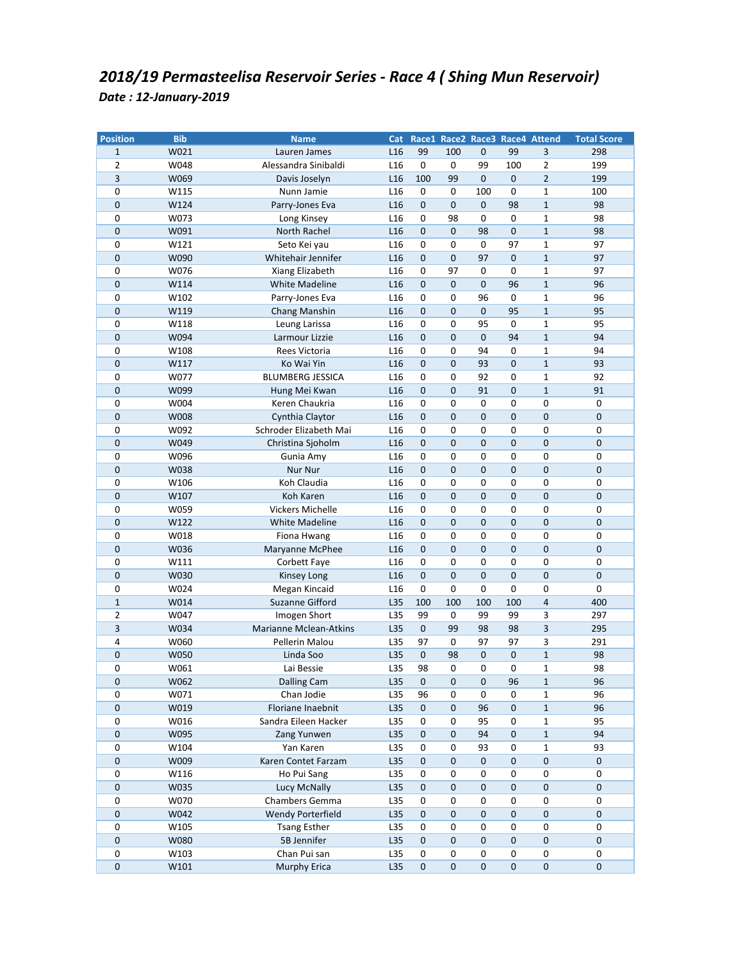| <b>Position</b>     | <b>Bib</b> | <b>Name</b>                   |                 |                     |             |             |             | Cat Race1 Race2 Race3 Race4 Attend | <b>Total Score</b> |
|---------------------|------------|-------------------------------|-----------------|---------------------|-------------|-------------|-------------|------------------------------------|--------------------|
| $\mathbf{1}$        | W021       | Lauren James                  | L <sub>16</sub> | 99                  | 100         | 0           | 99          | 3                                  | 298                |
| $\overline{2}$      | W048       | Alessandra Sinibaldi          | L <sub>16</sub> | 0                   | 0           | 99          | 100         | $\overline{2}$                     | 199                |
| 3                   | W069       | Davis Joselyn                 | L <sub>16</sub> | 100                 | 99          | 0           | $\mathbf 0$ | $\overline{2}$                     | 199                |
| 0                   | W115       | Nunn Jamie                    | L <sub>16</sub> | 0                   | 0           | 100         | 0           | $\mathbf{1}$                       | 100                |
| 0                   | W124       | Parry-Jones Eva               | L <sub>16</sub> | 0                   | $\pmb{0}$   | 0           | 98          | $\mathbf 1$                        | 98                 |
| 0                   | W073       | Long Kinsey                   | L <sub>16</sub> | 0                   | 98          | 0           | 0           | $\mathbf{1}$                       | 98                 |
| $\mathbf 0$         | W091       | North Rachel                  | L <sub>16</sub> | 0                   | $\mathbf 0$ | 98          | $\pmb{0}$   | $\mathbf 1$                        | 98                 |
| 0                   | W121       | Seto Kei yau                  | L <sub>16</sub> | 0                   | 0           | 0           | 97          | $\mathbf{1}$                       | 97                 |
| 0                   | W090       | Whitehair Jennifer            | L <sub>16</sub> | 0                   | $\mathbf 0$ | 97          | $\mathbf 0$ | $\mathbf{1}$                       | 97                 |
| 0                   | W076       | Xiang Elizabeth               | L <sub>16</sub> | 0                   | 97          | $\pmb{0}$   | 0           | $\mathbf 1$                        | 97                 |
| 0                   | W114       | <b>White Madeline</b>         | L <sub>16</sub> | $\mathbf 0$         | $\mathbf 0$ | 0           | 96          | $\mathbf{1}$                       | 96                 |
| 0                   | W102       | Parry-Jones Eva               | L <sub>16</sub> | 0                   | 0           | 96          | 0           | $\mathbf 1$                        | 96                 |
| 0                   | W119       | Chang Manshin                 | L <sub>16</sub> | 0                   | $\pmb{0}$   | 0           | 95          | $1\,$                              | 95                 |
| 0                   | W118       | Leung Larissa                 | L <sub>16</sub> | 0                   | 0           | 95          | 0           | $\mathbf{1}$                       | 95                 |
| 0                   | W094       | Larmour Lizzie                | L <sub>16</sub> | 0                   | 0           | 0           | 94          | $\mathbf{1}$                       | 94                 |
| 0                   | W108       | Rees Victoria                 | L <sub>16</sub> | 0                   | 0           | 94          | $\pmb{0}$   | $\mathbf 1$                        | 94                 |
| $\overline{0}$      | W117       | Ko Wai Yin                    | L <sub>16</sub> | $\mathbf 0$         | 0           | 93          | $\mathbf 0$ | $\mathbf 1$                        | 93                 |
| 0                   | W077       | <b>BLUMBERG JESSICA</b>       | L <sub>16</sub> | 0                   | 0           | 92          | 0           | $\mathbf{1}$                       | 92                 |
| 0                   | W099       | Hung Mei Kwan                 | L <sub>16</sub> | $\mathbf 0$         | $\mathbf 0$ | 91          | $\pmb{0}$   | $\mathbf{1}$                       | 91                 |
| 0                   | W004       | Keren Chaukria                | L <sub>16</sub> | 0                   | 0           | 0           | 0           | $\pmb{0}$                          | 0                  |
| $\pmb{0}$           | W008       | Cynthia Claytor               | L16             | $\mathbf 0$         | $\mathbf 0$ | $\pmb{0}$   | $\pmb{0}$   | $\pmb{0}$                          | $\pmb{0}$          |
| 0                   | W092       | Schroder Elizabeth Mai        | L <sub>16</sub> | 0                   | 0           | 0           | 0           | $\pmb{0}$                          | 0                  |
| 0                   | W049       | Christina Sjoholm             | L <sub>16</sub> | $\mathbf 0$         | $\mathbf 0$ | $\mathbf 0$ | $\mathbf 0$ | $\pmb{0}$                          | 0                  |
| 0                   | W096       | Gunia Amy                     | L <sub>16</sub> | 0                   | 0           | 0           | 0           | $\pmb{0}$                          | 0                  |
| 0                   | W038       | Nur Nur                       | L <sub>16</sub> | $\mathbf 0$         | $\mathbf 0$ | 0           | $\pmb{0}$   | $\pmb{0}$                          | 0                  |
| 0                   | W106       | Koh Claudia                   | L <sub>16</sub> | 0                   | 0           | 0           | 0           | 0                                  | 0                  |
| 0                   | W107       | Koh Karen                     | L16             | $\mathbf 0$         | $\pmb{0}$   | $\mathbf 0$ | $\pmb{0}$   | $\pmb{0}$                          | 0                  |
| 0                   | W059       | <b>Vickers Michelle</b>       | L <sub>16</sub> | 0                   | 0           | 0           | 0           | 0                                  | 0                  |
| 0                   | W122       | White Madeline                | L <sub>16</sub> | 0                   | $\mathbf 0$ | $\mathbf 0$ | $\pmb{0}$   | $\pmb{0}$                          | 0                  |
| 0                   | W018       | Fiona Hwang                   | L16             | 0                   | 0           | 0           | 0           | 0                                  | 0                  |
| 0                   | W036       | Maryanne McPhee               | L <sub>16</sub> | 0                   | 0           | 0           | $\mathbf 0$ | $\mathbf 0$                        | 0                  |
| 0                   | W111       | Corbett Faye                  | L <sub>16</sub> | 0                   | 0           | 0           | 0           | 0                                  | 0                  |
| 0                   | W030       | Kinsey Long                   | L16             | 0                   | 0           | $\pmb{0}$   | $\pmb{0}$   | $\pmb{0}$                          | $\pmb{0}$          |
| 0                   | W024       | Megan Kincaid                 | L <sub>16</sub> | $\mathbf 0$         | 0           | 0           | 0           | $\pmb{0}$                          | 0                  |
| $\mathbf{1}$        | W014       | Suzanne Gifford               | L35             | 100                 | 100         | 100         | 100         | $\overline{4}$                     | 400                |
| 2                   | W047       | Imogen Short                  | L35             | 99                  | 0           | 99          | 99          | 3                                  | 297                |
| 3                   | W034       | <b>Marianne Mclean-Atkins</b> | L35             | $\mathbf 0$         | 99          | 98          | 98          | 3                                  | 295                |
| 4                   | W060       | Pellerin Malou                | L35             | 97                  | $\pmb{0}$   | 97          | 97          | 3                                  | 291                |
| $\mathbf 0$         | W050       | Linda Soo                     | L35             | $\pmb{0}$           | 98          | $\mathbf 0$ | $\pmb{0}$   | $\mathbf 1$                        | 98                 |
| 0                   | W061       | Lai Bessie                    | L35             | 98                  | $\mathbf 0$ | 0           | 0           | $\mathbf{1}$                       | 98                 |
| 0                   | W062       | <b>Dalling Cam</b>            | L35             | $\mathsf{O}\xspace$ | 0           | 0           | 96          | $\mathbf{1}$                       | 96                 |
| 0                   | W071       | Chan Jodie                    | L35             | 96                  | $\pmb{0}$   | 0           | 0           | $\mathbf{1}$                       | 96                 |
| $\pmb{0}$           | W019       | Floriane Inaebnit             | L35             | 0                   | $\pmb{0}$   | 96          | $\pmb{0}$   | $\mathbf 1$                        | 96                 |
| 0                   | W016       | Sandra Eileen Hacker          | L35             | $\pmb{0}$           | $\pmb{0}$   | 95          | 0           | $\mathbf 1$                        | 95                 |
| 0                   | W095       | Zang Yunwen                   | L35             | 0                   | 0           | 94          | $\pmb{0}$   | $\mathbf 1$                        | 94                 |
| 0                   | W104       | Yan Karen                     | L35             | $\pmb{0}$           | $\pmb{0}$   | 93          | 0           | $\mathbf 1$                        | 93                 |
| $\pmb{0}$           | W009       | Karen Contet Farzam           | L35             | $\pmb{0}$           | $\pmb{0}$   | 0           | $\pmb{0}$   | $\pmb{0}$                          | $\pmb{0}$          |
| 0                   | W116       | Ho Pui Sang                   | L35             | $\pmb{0}$           | 0           | 0           | 0           | $\pmb{0}$                          | 0                  |
| $\pmb{0}$           | W035       | Lucy McNally                  | L35             | 0                   | $\pmb{0}$   | $\pmb{0}$   | $\pmb{0}$   | $\pmb{0}$                          | 0                  |
| 0                   | W070       | Chambers Gemma                | L35             | $\pmb{0}$           | $\pmb{0}$   | 0           | 0           | $\pmb{0}$                          | 0                  |
| 0                   | W042       | Wendy Porterfield             | L35             | $\pmb{0}$           | $\pmb{0}$   | $\pmb{0}$   | $\pmb{0}$   | $\pmb{0}$                          | 0                  |
| 0                   | W105       | <b>Tsang Esther</b>           | L35             | $\pmb{0}$           | $\pmb{0}$   | 0           | 0           | $\pmb{0}$                          | 0                  |
| 0                   | W080       | 5B Jennifer                   | L35             | 0                   | $\pmb{0}$   | 0           | $\pmb{0}$   | $\mathbf 0$                        | 0                  |
| 0                   | W103       | Chan Pui san                  | L35             | 0                   | $\pmb{0}$   | $\pmb{0}$   | 0           | $\pmb{0}$                          | 0                  |
| $\mathsf{O}\xspace$ | W101       | Murphy Erica                  | L35             | $\pmb{0}$           | $\pmb{0}$   | $\pmb{0}$   | $\pmb{0}$   | $\pmb{0}$                          | $\pmb{0}$          |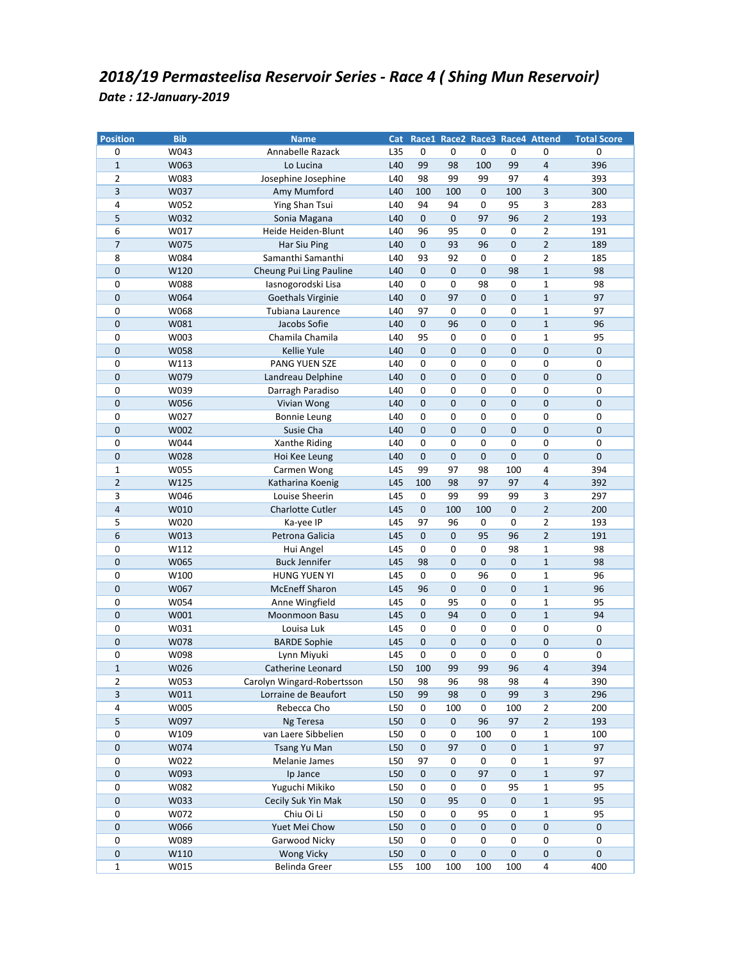| <b>Position</b> | <b>Bib</b> | <b>Name</b>                |     |              |             |             |             | Cat Race1 Race2 Race3 Race4 Attend | <b>Total Score</b> |
|-----------------|------------|----------------------------|-----|--------------|-------------|-------------|-------------|------------------------------------|--------------------|
| 0               | W043       | Annabelle Razack           | L35 | 0            | 0           | 0           | 0           | 0                                  | $\pmb{0}$          |
| $\mathbf{1}$    | W063       | Lo Lucina                  | L40 | 99           | 98          | 100         | 99          | $\overline{4}$                     | 396                |
| $\overline{2}$  | W083       | Josephine Josephine        | L40 | 98           | 99          | 99          | 97          | 4                                  | 393                |
| 3               | W037       | Amy Mumford                | L40 | 100          | 100         | $\mathbf 0$ | 100         | 3                                  | 300                |
| 4               | W052       | Ying Shan Tsui             | L40 | 94           | 94          | 0           | 95          | 3                                  | 283                |
| 5               | W032       | Sonia Magana               | L40 | $\mathbf{0}$ | $\mathbf 0$ | 97          | 96          | $\overline{2}$                     | 193                |
| 6               | W017       | Heide Heiden-Blunt         | L40 | 96           | 95          | 0           | 0           | $\overline{2}$                     | 191                |
| $\overline{7}$  | W075       | Har Siu Ping               | L40 | $\mathbf 0$  | 93          | 96          | $\pmb{0}$   | $\overline{2}$                     | 189                |
| 8               | W084       | Samanthi Samanthi          | L40 | 93           | 92          | 0           | 0           | $\overline{2}$                     | 185                |
| $\pmb{0}$       | W120       | Cheung Pui Ling Pauline    | L40 | $\pmb{0}$    | $\mathbf 0$ | $\mathbf 0$ | 98          | $\mathbf 1$                        | 98                 |
| 0               | W088       | lasnogorodski Lisa         | L40 | 0            | 0           | 98          | 0           | $\mathbf{1}$                       | 98                 |
| 0               | W064       | Goethals Virginie          | L40 | 0            | 97          | $\mathbf 0$ | $\pmb{0}$   | $\mathbf 1$                        | 97                 |
| 0               | W068       | Tubiana Laurence           | L40 | 97           | $\pmb{0}$   | 0           | 0           | $\mathbf 1$                        | 97                 |
| 0               | W081       | Jacobs Sofie               | L40 | $\pmb{0}$    | 96          | 0           | $\mathbf 0$ | $\mathbf{1}$                       | 96                 |
| 0               | W003       | Chamila Chamila            | L40 | 95           | 0           | 0           | 0           | $\mathbf{1}$                       | 95                 |
| $\pmb{0}$       | W058       | Kellie Yule                | L40 | $\pmb{0}$    | $\pmb{0}$   | $\mathbf 0$ | $\pmb{0}$   | $\pmb{0}$                          | $\mathbf 0$        |
| 0               | W113       | PANG YUEN SZE              | L40 | 0            | 0           | 0           | 0           | $\pmb{0}$                          | 0                  |
| $\mathbf 0$     | W079       | Landreau Delphine          | L40 | 0            | $\mathbf 0$ | $\mathbf 0$ | $\pmb{0}$   | $\pmb{0}$                          | 0                  |
| 0               | W039       | Darragh Paradiso           | L40 | 0            | 0           | 0           | 0           | 0                                  | 0                  |
| 0               | W056       | Vivian Wong                | L40 | 0            | $\mathbf 0$ | 0           | $\mathbf 0$ | $\mathbf 0$                        | 0                  |
| 0               | W027       | <b>Bonnie Leung</b>        | L40 | 0            | 0           | $\pmb{0}$   | 0           | $\pmb{0}$                          | $\pmb{0}$          |
| 0               | W002       | Susie Cha                  | L40 | $\mathbf 0$  | $\pmb{0}$   | $\mathbf 0$ | $\mathbf 0$ | $\pmb{0}$                          | 0                  |
| 0               | W044       | Xanthe Riding              | L40 | 0            | 0           | 0           | 0           | $\mathbf 0$                        | 0                  |
| $\pmb{0}$       | W028       | Hoi Kee Leung              | L40 | $\mathbf 0$  | $\mathbf 0$ | $\pmb{0}$   | $\mathsf 0$ | $\pmb{0}$                          | 0                  |
| 1               | W055       | Carmen Wong                | L45 | 99           | 97          | 98          | 100         | 4                                  | 394                |
| $\overline{2}$  | W125       | Katharina Koenig           | L45 | 100          | 98          | 97          | 97          | $\overline{4}$                     | 392                |
| 3               | W046       | Louise Sheerin             | L45 | 0            | 99          | 99          | 99          | $\mathsf 3$                        | 297                |
| $\overline{4}$  | W010       | Charlotte Cutler           | L45 | $\mathbf 0$  | 100         | 100         | $\mathbf 0$ | $\overline{2}$                     | 200                |
| 5               | W020       | Ka-yee IP                  | L45 | 97           | 96          | 0           | 0           | $\overline{2}$                     | 193                |
| 6               | W013       | Petrona Galicia            | L45 | $\pmb{0}$    | $\mathbf 0$ | 95          | 96          | $\overline{2}$                     | 191                |
| 0               | W112       | Hui Angel                  | L45 | 0            | 0           | 0           | 98          | $\mathbf{1}$                       | 98                 |
| $\mathbf 0$     | W065       | <b>Buck Jennifer</b>       | L45 | 98           | $\pmb{0}$   | $\mathbf 0$ | $\pmb{0}$   | $\mathbf 1$                        | 98                 |
| 0               | W100       | <b>HUNG YUEN YI</b>        | L45 | $\mathsf 0$  | 0           | 96          | 0           | $\mathbf 1$                        | 96                 |
| 0               | W067       | <b>McEneff Sharon</b>      | L45 | 96           | $\pmb{0}$   | $\mathbf 0$ | $\mathbf 0$ | $\mathbf{1}$                       | 96                 |
| 0               | W054       | Anne Wingfield             | L45 | 0            | 95          | 0           | 0           | $\mathbf{1}$                       | 95                 |
| 0               | W001       | Moonmoon Basu              | L45 | $\mathbf 0$  | 94          | 0           | $\pmb{0}$   | $\mathbf{1}$                       | 94                 |
| 0               | W031       | Louisa Luk                 | L45 | 0            | 0           | 0           | 0           | 0                                  | 0                  |
| 0               | W078       | <b>BARDE Sophie</b>        | L45 | 0            | $\pmb{0}$   | $\mathbf 0$ | $\pmb{0}$   | $\pmb{0}$                          | 0                  |
| 0               | W098       | Lynn Miyuki                | L45 | $\pmb{0}$    | 0           | 0           | 0           | $\pmb{0}$                          | 0                  |
| $\mathbf{1}$    | W026       | Catherine Leonard          | L50 | 100          | 99          | 99          | 96          | $\overline{4}$                     | 394                |
| 2               | W053       | Carolyn Wingard-Robertsson | L50 | 98           | 96          | 98          | 98          | 4                                  | 390                |
| 3               | W011       | Lorraine de Beaufort       | L50 | 99           | 98          | 0           | 99          | 3                                  | 296                |
| 4               | W005       | Rebecca Cho                | L50 | 0            | 100         | 0           | 100         | $\overline{2}$                     | 200                |
| 5               | W097       | Ng Teresa                  | L50 | 0            | $\pmb{0}$   | 96          | 97          | $\mathbf 2$                        | 193                |
| 0               | W109       | van Laere Sibbelien        | L50 | 0            | $\pmb{0}$   | 100         | 0           | $\mathbf 1$                        | 100                |
| $\pmb{0}$       | W074       | Tsang Yu Man               | L50 | $\pmb{0}$    | 97          | 0           | $\pmb{0}$   | $\mathbf 1$                        | 97                 |
| 0               | W022       | Melanie James              | L50 | 97           | 0           | 0           | 0           | $\mathbf 1$                        | 97                 |
| $\mathbf 0$     | W093       | Ip Jance                   | L50 | 0            | 0           | 97          | $\pmb{0}$   | $\mathbf{1}$                       | 97                 |
| 0               | W082       | Yuguchi Mikiko             | L50 | 0            | 0           | 0           | 95          | $\mathbf 1$                        | 95                 |
| $\pmb{0}$       | W033       | Cecily Suk Yin Mak         | L50 | 0            | 95          | 0           | $\pmb{0}$   | $1\,$                              | 95                 |
| 0               | W072       | Chiu Oi Li                 | L50 | 0            | $\pmb{0}$   | 95          | 0           | $\mathbf 1$                        | 95                 |
| $\pmb{0}$       | W066       | Yuet Mei Chow              | L50 | $\pmb{0}$    | $\pmb{0}$   | 0           | $\pmb{0}$   | $\pmb{0}$                          | $\pmb{0}$          |
| 0               | W089       | Garwood Nicky              | L50 | 0            | 0           | 0           | 0           | $\pmb{0}$                          | 0                  |
| $\pmb{0}$       | W110       | <b>Wong Vicky</b>          | L50 | 0            | $\pmb{0}$   | $\pmb{0}$   | $\pmb{0}$   | $\pmb{0}$                          | $\pmb{0}$          |
| $\mathbf 1$     | W015       | Belinda Greer              | L55 | 100          | 100         | 100         | 100         | 4                                  | 400                |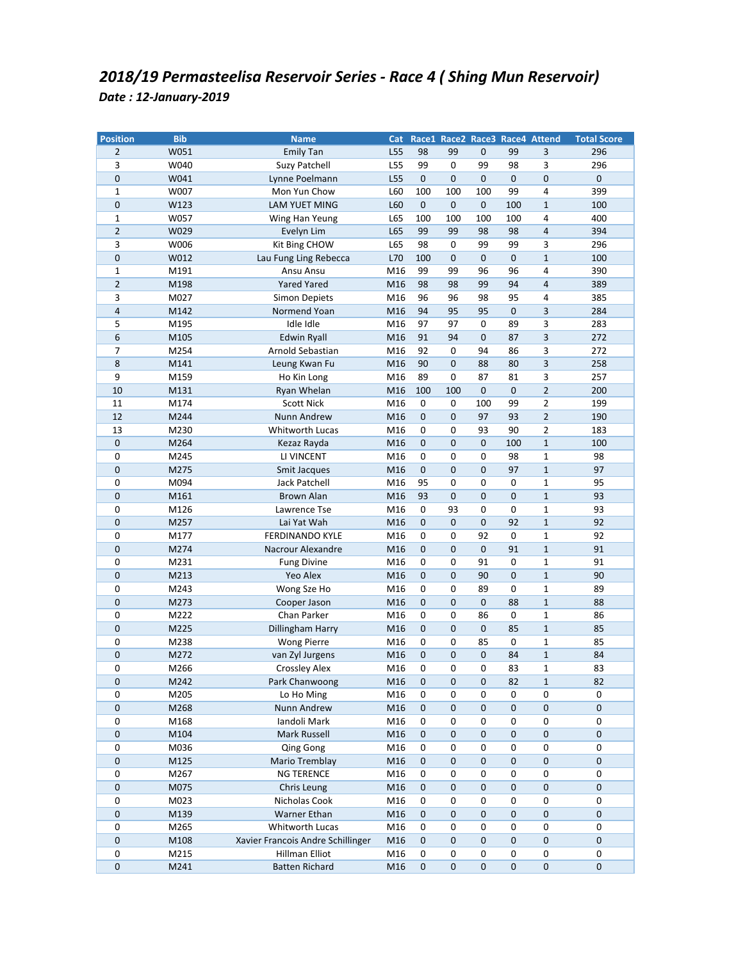| <b>Position</b> | <b>Bib</b> | <b>Name</b>                       | Cat |             |             |             |             | Race1 Race2 Race3 Race4 Attend | <b>Total Score</b> |
|-----------------|------------|-----------------------------------|-----|-------------|-------------|-------------|-------------|--------------------------------|--------------------|
| $\overline{2}$  | W051       | <b>Emily Tan</b>                  | L55 | 98          | 99          | 0           | 99          | 3                              | 296                |
| 3               | W040       | Suzy Patchell                     | L55 | 99          | 0           | 99          | 98          | 3                              | 296                |
| 0               | W041       | Lynne Poelmann                    | L55 | $\pmb{0}$   | $\mathbf 0$ | $\pmb{0}$   | $\mathbf 0$ | $\pmb{0}$                      | $\mathbf 0$        |
| $\mathbf 1$     | W007       | Mon Yun Chow                      | L60 | 100         | 100         | 100         | 99          | $\overline{4}$                 | 399                |
| 0               | W123       | <b>LAM YUET MING</b>              | L60 | $\mathbf 0$ | $\mathbf 0$ | 0           | 100         | $1\,$                          | 100                |
| $\mathbf 1$     | W057       | Wing Han Yeung                    | L65 | 100         | 100         | 100         | 100         | 4                              | 400                |
| $\overline{2}$  | W029       | Evelyn Lim                        | L65 | 99          | 99          | 98          | 98          | $\overline{4}$                 | 394                |
| 3               | W006       | Kit Bing CHOW                     | L65 | 98          | 0           | 99          | 99          | 3                              | 296                |
| 0               | W012       | Lau Fung Ling Rebecca             | L70 | 100         | $\pmb{0}$   | $\pmb{0}$   | $\pmb{0}$   | $\mathbf 1$                    | 100                |
| $\mathbf 1$     | M191       | Ansu Ansu                         | M16 | 99          | 99          | 96          | 96          | $\overline{4}$                 | 390                |
| $\overline{2}$  | M198       | <b>Yared Yared</b>                | M16 | 98          | 98          | 99          | 94          | $\overline{4}$                 | 389                |
| 3               | M027       | <b>Simon Depiets</b>              | M16 | 96          | 96          | 98          | 95          | 4                              | 385                |
| 4               | M142       | Normend Yoan                      | M16 | 94          | 95          | 95          | $\pmb{0}$   | $\overline{3}$                 | 284                |
| 5               | M195       | Idle Idle                         | M16 | 97          | 97          | $\pmb{0}$   | 89          | 3                              | 283                |
| 6               | M105       | Edwin Ryall                       | M16 | 91          | 94          | $\mathbf 0$ | 87          | 3                              | 272                |
| 7               | M254       | Arnold Sebastian                  | M16 | 92          | 0           | 94          | 86          | 3                              | 272                |
| 8               | M141       | Leung Kwan Fu                     | M16 | 90          | $\pmb{0}$   | 88          | 80          | 3                              | 258                |
| 9               | M159       | Ho Kin Long                       | M16 | 89          | 0           | 87          | 81          | 3                              | 257                |
| 10              | M131       | Ryan Whelan                       | M16 | 100         | 100         | 0           | $\mathbf 0$ | $\overline{2}$                 | 200                |
| 11              | M174       | <b>Scott Nick</b>                 | M16 | 0           | 0           | 100         | 99          | $\mathbf 2$                    | 199                |
| 12              | M244       | Nunn Andrew                       | M16 | $\mathbf 0$ | $\pmb{0}$   | 97          | 93          | $\overline{2}$                 | 190                |
| 13              | M230       | Whitworth Lucas                   | M16 | $\pmb{0}$   | $\pmb{0}$   | 93          | 90          | $\mathbf 2$                    | 183                |
| $\mathbf 0$     | M264       | Kezaz Rayda                       | M16 | $\mathbf 0$ | $\pmb{0}$   | $\pmb{0}$   | 100         | $\mathbf 1$                    | 100                |
| 0               | M245       | LI VINCENT                        | M16 | $\pmb{0}$   | $\pmb{0}$   | 0           | 98          | $\mathbf{1}$                   | 98                 |
| 0               | M275       | Smit Jacques                      | M16 | 0           | $\mathbf 0$ | 0           | 97          | $\mathbf{1}$                   | 97                 |
| 0               | M094       | Jack Patchell                     | M16 | 95          | 0           | $\pmb{0}$   | 0           | $\mathbf 1$                    | 95                 |
| 0               | M161       | Brown Alan                        | M16 | 93          | $\pmb{0}$   | $\mathbf 0$ | $\mathbf 0$ | $\mathbf{1}$                   | 93                 |
| 0               | M126       | Lawrence Tse                      | M16 | $\mathbf 0$ | 93          | 0           | 0           | $\mathbf 1$                    | 93                 |
| $\mathbf 0$     | M257       | Lai Yat Wah                       | M16 | $\mathbf 0$ | $\pmb{0}$   | 0           | 92          | $\mathbf{1}$                   | 92                 |
| 0               | M177       | <b>FERDINANDO KYLE</b>            | M16 | 0           | 0           | 92          | 0           | $\mathbf{1}$                   | 92                 |
| $\mathbf 0$     | M274       | Nacrour Alexandre                 | M16 | 0           | $\pmb{0}$   | 0           | 91          | $\mathbf{1}$                   | 91                 |
| 0               | M231       | <b>Fung Divine</b>                | M16 | $\pmb{0}$   | $\pmb{0}$   | 91          | $\pmb{0}$   | $\mathbf 1$                    | 91                 |
| $\overline{0}$  | M213       | Yeo Alex                          | M16 | 0           | $\mathbf 0$ | 90          | $\mathbf 0$ | $\mathbf 1$                    | 90                 |
| 0               | M243       | Wong Sze Ho                       | M16 | 0           | 0           | 89          | 0           | $\mathbf 1$                    | 89                 |
| 0               | M273       | Cooper Jason                      | M16 | $\pmb{0}$   | $\pmb{0}$   | 0           | 88          | $\mathbf{1}$                   | 88                 |
| 0               | M222       | Chan Parker                       | M16 | 0           | 0           | 86          | 0           | $\mathbf{1}$                   | 86                 |
| $\pmb{0}$       | M225       | Dillingham Harry                  | M16 | $\mathbf 0$ | $\pmb{0}$   | $\pmb{0}$   | 85          | $\mathbf 1$                    | 85                 |
| 0               | M238       | <b>Wong Pierre</b>                | M16 | 0           | 0           | 85          | 0           | $\mathbf 1$                    | 85                 |
| $\mathbf 0$     | M272       | van Zyl Jurgens                   | M16 | 0           | $\mathbf 0$ | $\mathbf 0$ | 84          | $\mathbf 1$                    | 84                 |
| 0               | M266       | <b>Crossley Alex</b>              | M16 | 0           | 0           | 0           | 83          | 1                              | 83                 |
| 0               | M242       | Park Chanwoong                    | M16 | 0           | 0           | 0           | 82          | $\mathbf{1}$                   | 82                 |
| 0               | M205       | Lo Ho Ming                        | M16 | 0           | 0           | 0           | 0           | 0                              | 0                  |
| 0               | M268       | Nunn Andrew                       | M16 | $\pmb{0}$   | $\pmb{0}$   | $\pmb{0}$   | $\pmb{0}$   | $\pmb{0}$                      | $\pmb{0}$          |
| 0               | M168       | Iandoli Mark                      | M16 | $\pmb{0}$   | $\pmb{0}$   | 0           | 0           | $\pmb{0}$                      | 0                  |
| $\pmb{0}$       | M104       | Mark Russell                      | M16 | $\pmb{0}$   | $\pmb{0}$   | 0           | $\pmb{0}$   | $\pmb{0}$                      | 0                  |
| 0               | M036       | Qing Gong                         | M16 | 0           | 0           | 0           | 0           | $\pmb{0}$                      | 0                  |
| 0               | M125       | Mario Tremblay                    | M16 | 0           | 0           | 0           | $\pmb{0}$   | $\mathbf 0$                    | 0                  |
| 0               | M267       | <b>NG TERENCE</b>                 | M16 | 0           | 0           | $\pmb{0}$   | 0           | 0                              | 0                  |
| 0               | M075       | Chris Leung                       | M16 | $\pmb{0}$   | $\pmb{0}$   | 0           | $\pmb{0}$   | $\pmb{0}$                      | $\pmb{0}$          |
| 0               | M023       | Nicholas Cook                     | M16 | $\pmb{0}$   | $\pmb{0}$   | 0           | 0           | $\pmb{0}$                      | 0                  |
| $\mathbf 0$     | M139       | <b>Warner Ethan</b>               | M16 | $\pmb{0}$   | $\pmb{0}$   | 0           | $\pmb{0}$   | $\pmb{0}$                      | 0                  |
| 0               | M265       | Whitworth Lucas                   | M16 | 0           | 0           | 0           | 0           | $\pmb{0}$                      | 0                  |
| 0               | M108       | Xavier Francois Andre Schillinger | M16 | 0           | $\pmb{0}$   | 0           | $\pmb{0}$   | $\pmb{0}$                      | 0                  |
| 0               | M215       | Hillman Elliot                    | M16 | 0           | 0           | 0           | 0           | $\pmb{0}$                      | 0                  |
| 0               | M241       | <b>Batten Richard</b>             | M16 | 0           | $\pmb{0}$   | $\pmb{0}$   | $\pmb{0}$   | $\pmb{0}$                      | 0                  |
|                 |            |                                   |     |             |             |             |             |                                |                    |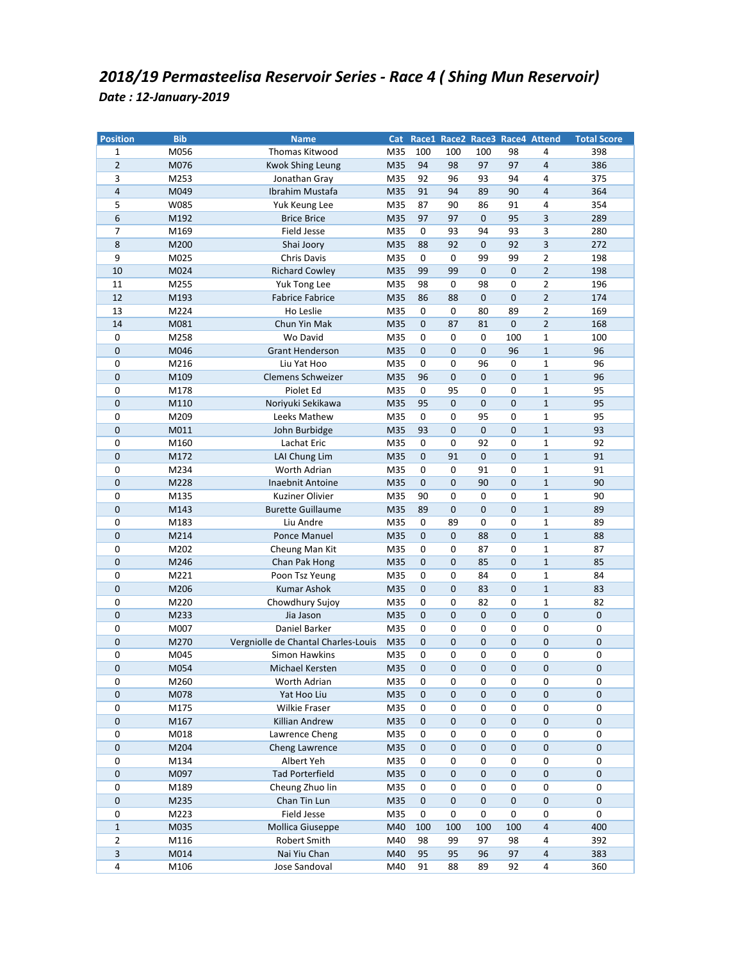| <b>Position</b> | <b>Bib</b> | <b>Name</b>                         |     |             |             |             |             | Cat Race1 Race2 Race3 Race4 Attend | <b>Total Score</b> |
|-----------------|------------|-------------------------------------|-----|-------------|-------------|-------------|-------------|------------------------------------|--------------------|
| 1               | M056       | Thomas Kitwood                      | M35 | 100         | 100         | 100         | 98          | 4                                  | 398                |
| $\overline{2}$  | M076       | <b>Kwok Shing Leung</b>             | M35 | 94          | 98          | 97          | 97          | $\overline{4}$                     | 386                |
| 3               | M253       | Jonathan Gray                       | M35 | 92          | 96          | 93          | 94          | 4                                  | 375                |
| $\overline{4}$  | M049       | Ibrahim Mustafa                     | M35 | 91          | 94          | 89          | 90          | $\overline{4}$                     | 364                |
| 5               | W085       | Yuk Keung Lee                       | M35 | 87          | 90          | 86          | 91          | 4                                  | 354                |
| 6               | M192       | <b>Brice Brice</b>                  | M35 | 97          | 97          | 0           | 95          | 3                                  | 289                |
| 7               | M169       | Field Jesse                         | M35 | 0           | 93          | 94          | 93          | 3                                  | 280                |
| 8               | M200       | Shai Joory                          | M35 | 88          | 92          | 0           | 92          | 3                                  | 272                |
| 9               | M025       | Chris Davis                         | M35 | 0           | 0           | 99          | 99          | $\overline{2}$                     | 198                |
| 10              | M024       | <b>Richard Cowley</b>               | M35 | 99          | 99          | $\mathbf 0$ | $\pmb{0}$   | $\overline{2}$                     | 198                |
| 11              | M255       | Yuk Tong Lee                        | M35 | 98          | 0           | 98          | 0           | $\overline{2}$                     | 196                |
| 12              | M193       | <b>Fabrice Fabrice</b>              | M35 | 86          | 88          | $\pmb{0}$   | $\pmb{0}$   | $\overline{2}$                     | 174                |
| 13              | M224       | Ho Leslie                           | M35 | $\pmb{0}$   | $\pmb{0}$   | 80          | 89          | $\mathbf 2$                        | 169                |
| 14              | M081       | Chun Yin Mak                        | M35 | 0           | 87          | 81          | $\pmb{0}$   | $\overline{2}$                     | 168                |
| 0               | M258       | Wo David                            | M35 | 0           | 0           | 0           | 100         | $\mathbf{1}$                       | 100                |
| 0               | M046       | <b>Grant Henderson</b>              | M35 | $\mathbf 0$ | $\pmb{0}$   | $\pmb{0}$   | 96          | $1\,$                              | 96                 |
| 0               | M216       | Liu Yat Hoo                         | M35 | 0           | 0           | 96          | 0           | $\mathbf{1}$                       | 96                 |
| 0               | M109       | Clemens Schweizer                   | M35 | 96          | 0           | 0           | $\mathbf 0$ | $\mathbf{1}$                       | 96                 |
| 0               | M178       | Piolet Ed                           | M35 | 0           | 95          | 0           | 0           | $\mathbf{1}$                       | 95                 |
| 0               | M110       | Noriyuki Sekikawa                   | M35 | 95          | 0           | 0           | $\mathbf 0$ | $\mathbf{1}$                       | 95                 |
| 0               | M209       | Leeks Mathew                        | M35 | 0           | 0           | 95          | 0           | $\mathbf{1}$                       | 95                 |
| 0               | M011       | John Burbidge                       | M35 | 93          | 0           | 0           | $\pmb{0}$   | $\mathbf{1}$                       | 93                 |
| 0               | M160       | Lachat Eric                         | M35 | $\pmb{0}$   | $\pmb{0}$   | 92          | 0           | $\mathbf{1}$                       | 92                 |
| 0               | M172       | LAI Chung Lim                       | M35 | $\pmb{0}$   | 91          | 0           | $\pmb{0}$   | $\mathbf{1}$                       | 91                 |
| 0               | M234       | Worth Adrian                        | M35 | 0           | 0           | 91          | 0           | $\mathbf{1}$                       | 91                 |
| 0               | M228       | Inaebnit Antoine                    | M35 | 0           | 0           | 90          | $\mathbf 0$ | $\mathbf 1$                        | 90                 |
| 0               | M135       | Kuziner Olivier                     | M35 | 90          | 0           | 0           | $\pmb{0}$   | $\mathbf{1}$                       | 90                 |
| 0               | M143       | <b>Burette Guillaume</b>            | M35 | 89          | 0           | 0           | $\mathbf 0$ | $1\,$                              | 89                 |
| 0               | M183       | Liu Andre                           | M35 | 0           | 89          | 0           | 0           | $\mathbf{1}$                       | 89                 |
| 0               | M214       | Ponce Manuel                        | M35 | 0           | $\mathbf 0$ | 88          | $\mathbf 0$ | $\mathbf{1}$                       | 88                 |
| 0               | M202       | Cheung Man Kit                      | M35 | 0           | 0           | 87          | 0           | $\mathbf{1}$                       | 87                 |
| 0               | M246       | Chan Pak Hong                       | M35 | 0           | 0           | 85          | $\mathbf 0$ | $\mathbf{1}$                       | 85                 |
| 0               | M221       | Poon Tsz Yeung                      | M35 | 0           | 0           | 84          | 0           | $\mathbf{1}$                       | 84                 |
| 0               | M206       | <b>Kumar Ashok</b>                  | M35 | 0           | 0           | 83          | $\mathbf 0$ | $1\,$                              | 83                 |
| 0               | M220       | Chowdhury Sujoy                     | M35 | 0           | 0           | 82          | 0           | $\mathbf{1}$                       | 82                 |
| 0               | M233       | Jia Jason                           | M35 | 0           | 0           | 0           | $\mathbf 0$ | $\pmb{0}$                          | 0                  |
| 0               | M007       | Daniel Barker                       | M35 | 0           | 0           | 0           | 0           | 0                                  | 0                  |
| $\mathbf 0$     | M270       | Vergniolle de Chantal Charles-Louis | M35 | 0           | 0           | $\mathbf 0$ | $\pmb{0}$   | $\pmb{0}$                          | 0                  |
| 0               | M045       | Simon Hawkins                       | M35 | 0           | 0           | 0           | 0           | 0                                  | 0                  |
| 0               | M054       | Michael Kersten                     | M35 | 0           | 0           | 0           | $\mathbf 0$ | 0                                  | 0                  |
| 0               | M260       | Worth Adrian                        | M35 | 0           | 0           | 0           | 0           | 0                                  | 0                  |
| 0               | M078       | Yat Hoo Liu                         | M35 | $\pmb{0}$   | 0           | 0           | $\mathbf 0$ | $\mathbf{0}$                       | 0                  |
| 0               | M175       | Wilkie Fraser                       | M35 | 0           | 0           | 0           | 0           | 0                                  | 0                  |
| 0               | M167       | Killian Andrew                      | M35 | $\pmb{0}$   | $\pmb{0}$   | $\pmb{0}$   | $\pmb{0}$   | $\pmb{0}$                          | $\pmb{0}$          |
| 0               | M018       | Lawrence Cheng                      | M35 | 0           | $\pmb{0}$   | 0           | 0           | $\pmb{0}$                          | 0                  |
| 0               | M204       | Cheng Lawrence                      | M35 | 0           | $\pmb{0}$   | 0           | $\pmb{0}$   | $\pmb{0}$                          | 0                  |
| 0               | M134       | Albert Yeh                          | M35 | 0           | 0           | 0           | 0           | $\pmb{0}$                          | 0                  |
| 0               | M097       | <b>Tad Porterfield</b>              | M35 | 0           | 0           | 0           | 0           | 0                                  | 0                  |
| 0               | M189       | Cheung Zhuo lin                     | M35 | 0           | $\pmb{0}$   | 0           | 0           | $\pmb{0}$                          | 0                  |
| 0               | M235       | Chan Tin Lun                        | M35 | $\pmb{0}$   | $\pmb{0}$   | $\pmb{0}$   | $\mathbf 0$ | $\pmb{0}$                          | 0                  |
| 0               | M223       | <b>Field Jesse</b>                  | M35 | $\pmb{0}$   | $\pmb{0}$   | 0           | 0           | $\pmb{0}$                          | 0                  |
| $\mathbf{1}$    | M035       | Mollica Giuseppe                    | M40 | 100         | 100         | 100         | 100         | $\sqrt{4}$                         | 400                |
| 2               | M116       | Robert Smith                        | M40 | 98          | 99          | 97          | 98          | 4                                  | 392                |
| 3               | M014       | Nai Yiu Chan                        | M40 | 95          | 95          | 96          | 97          | $\overline{4}$                     | 383                |
| $\pmb{4}$       | M106       | Jose Sandoval                       | M40 | 91          | 88          | 89          | 92          | $\overline{a}$                     | 360                |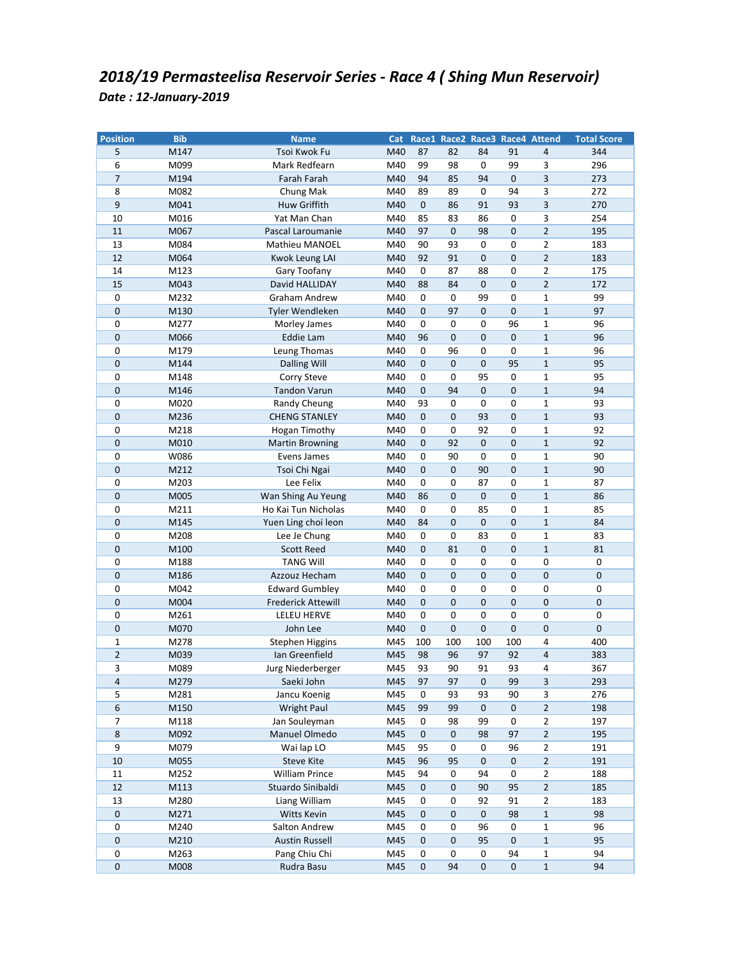| <b>Position</b> | <b>Bib</b>   | <b>Name</b>                  | Cat        |             |                 |             |             | Race1 Race2 Race3 Race4 Attend | <b>Total Score</b> |
|-----------------|--------------|------------------------------|------------|-------------|-----------------|-------------|-------------|--------------------------------|--------------------|
| 5               | M147         | Tsoi Kwok Fu                 | M40        | 87          | 82              | 84          | 91          | $\overline{4}$                 | 344                |
| 6               | M099         | Mark Redfearn                | M40        | 99          | 98              | 0           | 99          | 3                              | 296                |
| 7               | M194         | Farah Farah                  | M40        | 94          | 85              | 94          | $\mathbf 0$ | 3                              | 273                |
| 8               | M082         | Chung Mak                    | M40        | 89          | 89              | 0           | 94          | 3                              | 272                |
| 9               | M041         | Huw Griffith                 | M40        | $\mathbf 0$ | 86              | 91          | 93          | 3                              | 270                |
| 10              | M016         | Yat Man Chan                 | M40        | 85          | 83              | 86          | 0           | 3                              | 254                |
| 11              | M067         | Pascal Laroumanie            | M40        | 97          | $\mathbf 0$     | 98          | $\mathbf 0$ | $\overline{2}$                 | 195                |
| 13              | M084         | Mathieu MANOEL               | M40        | 90          | 93              | 0           | 0           | 2                              | 183                |
| 12              | M064         | Kwok Leung LAI               | M40        | 92          | 91              | 0           | $\mathbf 0$ | $\overline{2}$                 | 183                |
| 14              | M123         | Gary Toofany                 | M40        | 0           | 87              | 88          | 0           | $\overline{2}$                 | 175                |
| 15              | M043         | David HALLIDAY               | M40        | 88          | 84              | $\mathbf 0$ | $\mathbf 0$ | $\overline{2}$                 | 172                |
| 0               | M232         | Graham Andrew                | M40        | $\pmb{0}$   | 0               | 99          | 0           | $\mathbf{1}$                   | 99                 |
| 0               | M130         | Tyler Wendleken              | M40        | $\mathbf 0$ | 97              | 0           | $\pmb{0}$   | $1\,$                          | 97                 |
| 0               | M277         | Morley James                 | M40        | 0           | 0               | 0           | 96          | 1                              | 96                 |
| 0               | M066         | <b>Eddie Lam</b>             | M40        | 96          | 0               | 0           | $\pmb{0}$   | $\mathbf{1}$                   | 96                 |
| 0               | M179         | Leung Thomas                 | M40        | $\pmb{0}$   | 96              | 0           | 0           | 1                              | 96                 |
| 0               | M144         | Dalling Will                 | M40        | 0           | 0               | $\mathbf 0$ | 95          | $\mathbf{1}$                   | 95                 |
| 0               | M148         | Corry Steve                  | M40        | 0           | 0               | 95          | 0           | $\mathbf{1}$                   | 95                 |
| 0               | M146         | Tandon Varun                 | M40        | $\mathbf 0$ | 94              | 0           | $\mathbf 0$ | $\mathbf{1}$                   | 94                 |
| 0               | M020         | Randy Cheung                 | M40        | 93          | 0               | 0           | 0           | $\mathbf{1}$                   | 93                 |
| 0               | M236         | <b>CHENG STANLEY</b>         | M40        | $\mathbf 0$ | $\mathbf 0$     | 93          | $\mathbf 0$ | $\mathbf{1}$                   | 93                 |
| 0               | M218         | Hogan Timothy                | M40        | $\pmb{0}$   | 0               | 92          | 0           | $\mathbf 1$                    | 92                 |
| 0               | M010         | <b>Martin Browning</b>       | M40        | 0           | 92              | $\mathbf 0$ | $\mathbf 0$ | $\mathbf{1}$                   | 92                 |
| 0               | W086         | Evens James                  | M40        | $\pmb{0}$   | 90              | 0           | 0           | $\mathbf 1$                    | 90                 |
| 0               | M212         | Tsoi Chi Ngai                | M40        | $\mathbf 0$ | 0               | 90          | $\mathbf 0$ | $\mathbf{1}$                   | 90                 |
| 0               | M203         | Lee Felix                    | M40        | 0           | 0               | 87          | 0           | $\mathbf{1}$                   | 87                 |
| 0               | M005         | Wan Shing Au Yeung           | M40        | 86          | $\pmb{0}$       | $\pmb{0}$   | $\mathbf 0$ | $\mathbf{1}$                   | 86                 |
| 0               | M211         | Ho Kai Tun Nicholas          | M40        | 0           | 0               | 85          | 0           | $\mathbf{1}$                   | 85                 |
| 0               | M145         | Yuen Ling choi leon          | M40        | 84          | 0               | 0           | $\mathbf 0$ | $\mathbf{1}$                   | 84                 |
| 0               | M208         | Lee Je Chung                 | M40        | 0           | 0               | 83          | 0           | 1                              | 83                 |
| 0               | M100         | <b>Scott Reed</b>            | M40        | 0           | 81              | 0           | $\mathbf 0$ | $\mathbf{1}$                   | 81                 |
| 0               | M188         | <b>TANG Will</b>             | M40        | $\pmb{0}$   | 0               | 0           | 0           | 0                              | 0                  |
| 0               | M186         | Azzouz Hecham                | M40        | $\mathbf 0$ | 0               | $\mathbf 0$ | $\mathbf 0$ | $\pmb{0}$                      | $\pmb{0}$          |
| 0               | M042         | <b>Edward Gumbley</b>        | M40        | $\pmb{0}$   | 0               | 0           | 0           | $\pmb{0}$                      | 0                  |
| 0               | M004         | <b>Frederick Attewill</b>    | M40        | $\mathbf 0$ | $\pmb{0}$       | 0           | $\mathbf 0$ | $\pmb{0}$                      | $\pmb{0}$          |
| 0               | M261         | <b>LELEU HERVE</b>           | M40        | 0           | 0               | 0           | 0           | 0                              | 0                  |
| 0               | M070         | John Lee                     | M40        | 0           | $\mathbf 0$     | 0           | $\mathbf 0$ | $\mathbf 0$                    | 0                  |
| 1               | M278         | <b>Stephen Higgins</b>       | M45        | 100         | 100             | 100         | 100         | 4                              | 400                |
| $\overline{2}$  | M039         | Ian Greenfield               | M45        | 98          | 96              | 97          | 92          | $\overline{4}$                 | 383                |
| 3               | M089         | Jurg Niederberger            | M45        | 93          | 90              | 91          | 93          | 4                              | 367                |
| 4               | M279         | Saeki John                   | M45        | 97          | 97              | $\pmb{0}$   | 99          | 3                              | 293                |
| 5               | M281         | Jancu Koenig                 | M45        | $\pmb{0}$   | 93              | 93          | 90          | 3                              | 276                |
| 6               | M150         | <b>Wright Paul</b>           | M45        | 99          | 99              | $\pmb{0}$   | $\pmb{0}$   | $\mathbf 2$                    | 198                |
| 7               | M118         | Jan Souleyman                | M45        | $\pmb{0}$   | 98              | 99          | 0           | 2                              | 197                |
| $\,8\,$         | M092         | Manuel Olmedo                | M45        | $\pmb{0}$   | $\pmb{0}$       | 98          | 97          | $\overline{2}$                 | 195                |
| 9               | M079         | Wai lap LO                   | M45        | 95          | $\pmb{0}$       | 0           | 96          | $\mathbf{2}$                   | 191                |
| 10              |              |                              | M45        | 96          |                 | 0           | $\pmb{0}$   | $\overline{2}$                 | 191                |
| 11              | M055<br>M252 | Steve Kite<br>William Prince | M45        | 94          | 95<br>$\pmb{0}$ | 94          | 0           | $\overline{2}$                 | 188                |
| $12\,$          |              | Stuardo Sinibaldi            |            | $\pmb{0}$   | $\pmb{0}$       | 90          | 95          | $\mathbf 2$                    |                    |
| 13              | M113<br>M280 |                              | M45<br>M45 | $\pmb{0}$   |                 | 92          | 91          |                                | 185<br>183         |
| 0               | M271         | Liang William<br>Witts Kevin | M45        | $\pmb{0}$   | 0<br>0          |             | 98          | 2<br>$\mathbf{1}$              | 98                 |
|                 |              |                              |            |             |                 | 0           |             |                                |                    |
| 0               | M240         | Salton Andrew                | M45        | $\pmb{0}$   | 0               | 96          | 0           | $\mathbf 1$                    | 96                 |
| 0               | M210         | <b>Austin Russell</b>        | M45        | $\pmb{0}$   | $\pmb{0}$       | 95          | $\mathbf 0$ | $\mathbf{1}$                   | 95                 |
| 0               | M263         | Pang Chiu Chi                | M45        | 0           | $\pmb{0}$       | 0           | 94          | 1                              | 94                 |
| 0               | M008         | Rudra Basu                   | M45        | $\pmb{0}$   | 94              | $\pmb{0}$   | $\mathbf 0$ | $\mathbf 1$                    | 94                 |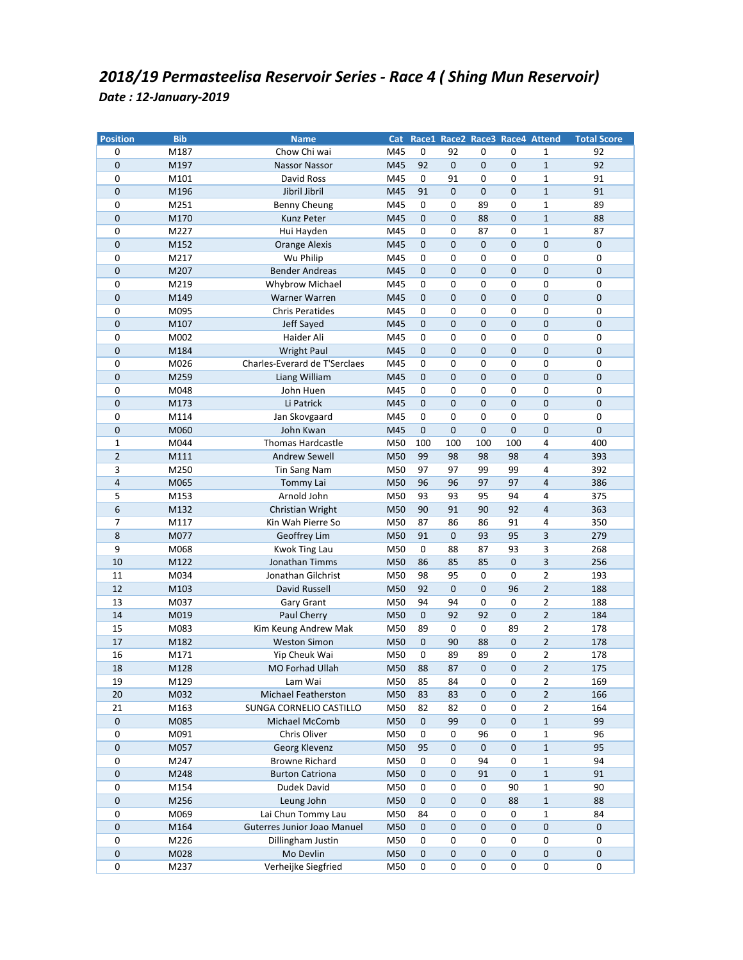| <b>Position</b> | <b>Bib</b>   | <b>Name</b>                               |     |                     |             |                |             | Cat Race1 Race2 Race3 Race4 Attend | <b>Total Score</b> |
|-----------------|--------------|-------------------------------------------|-----|---------------------|-------------|----------------|-------------|------------------------------------|--------------------|
| 0               | M187         | Chow Chi wai                              | M45 | 0                   | 92          | 0              | 0           | $\mathbf{1}$                       | 92                 |
| 0               | M197         | Nassor Nassor                             | M45 | 92                  | $\pmb{0}$   | 0              | $\mathbf 0$ | $\mathbf{1}$                       | 92                 |
| 0               | M101         | David Ross                                | M45 | 0                   | 91          | 0              | 0           | $\mathbf{1}$                       | 91                 |
| 0               | M196         | Jibril Jibril                             | M45 | 91                  | $\mathbf 0$ | $\mathbf 0$    | $\mathbf 0$ | $\mathbf 1$                        | 91                 |
| 0               | M251         | Benny Cheung                              | M45 | $\pmb{0}$           | 0           | 89             | 0           | $\mathbf{1}$                       | 89                 |
| 0               | M170         | Kunz Peter                                | M45 | $\mathbf{0}$        | $\mathbf 0$ | 88             | $\mathbf 0$ | $\mathbf{1}$                       | 88                 |
| 0               | M227         | Hui Hayden                                | M45 | 0                   | 0           | 87             | 0           | $\mathbf 1$                        | 87                 |
| 0               | M152         | Orange Alexis                             | M45 | $\mathbf 0$         | $\mathbf 0$ | 0              | $\mathbf 0$ | $\pmb{0}$                          | $\mathbf 0$        |
| 0               | M217         | Wu Philip                                 | M45 | 0                   | 0           | 0              | 0           | 0                                  | 0                  |
| $\pmb{0}$       | M207         | <b>Bender Andreas</b>                     | M45 | $\pmb{0}$           | $\pmb{0}$   | $\mathbf 0$    | $\mathbf 0$ | $\pmb{0}$                          | $\pmb{0}$          |
| 0               | M219         | Whybrow Michael                           | M45 | $\pmb{0}$           | 0           | 0              | 0           | $\pmb{0}$                          | 0                  |
| 0               | M149         | Warner Warren                             | M45 | 0                   | $\pmb{0}$   | $\mathbf 0$    | $\mathbf 0$ | $\mathbf 0$                        | 0                  |
| 0               | M095         | <b>Chris Peratides</b>                    | M45 | $\pmb{0}$           | $\pmb{0}$   | 0              | 0           | $\pmb{0}$                          | 0                  |
| 0               | M107         | Jeff Sayed                                | M45 | $\pmb{0}$           | $\mathbf 0$ | $\mathbf 0$    | $\mathbf 0$ | $\mathbf 0$                        | 0                  |
| 0               | M002         | Haider Ali                                | M45 | 0                   | 0           | 0              | 0           | 0                                  | 0                  |
| $\pmb{0}$       | M184         | <b>Wright Paul</b>                        | M45 | $\pmb{0}$           | $\pmb{0}$   | $\mathbf 0$    | $\pmb{0}$   | $\pmb{0}$                          | 0                  |
| 0               | M026         | Charles-Everard de T'Serclaes             | M45 | 0                   | 0           | 0              | 0           | $\pmb{0}$                          | 0                  |
| 0               | M259         | Liang William                             | M45 | 0                   | $\mathbf 0$ | $\mathbf 0$    | $\mathbf 0$ | $\mathbf{0}$                       | 0                  |
| 0               | M048         | John Huen                                 | M45 | 0                   | 0           | 0              | 0           | 0                                  | 0                  |
| 0               | M173         | Li Patrick                                | M45 | $\mathbf{0}$        | $\mathbf 0$ | 0              | $\mathbf 0$ | $\mathbf 0$                        | 0                  |
| 0               | M114         | Jan Skovgaard                             | M45 | 0                   | 0           | 0              | 0           | $\pmb{0}$                          | $\pmb{0}$          |
| 0               | M060         | John Kwan                                 | M45 | $\pmb{0}$           | $\pmb{0}$   | $\mathbf 0$    | $\pmb{0}$   | $\mathbf{0}$                       | 0                  |
| $\mathbf{1}$    | M044         | <b>Thomas Hardcastle</b>                  | M50 | 100                 | 100         | 100            | 100         | $\overline{4}$                     | 400                |
| $\overline{2}$  | M111         | <b>Andrew Sewell</b>                      | M50 | 99                  | 98          | 98             | 98          | $\overline{4}$                     | 393                |
| 3               | M250         | Tin Sang Nam                              | M50 | 97                  | 97          | 99             | 99          | 4                                  | 392                |
| 4               | M065         | Tommy Lai                                 | M50 | 96                  | 96          | 97             | 97          | $\overline{4}$                     | 386                |
| 5               | M153         | Arnold John                               | M50 | 93                  | 93          | 95             | 94          | 4                                  | 375                |
| 6               | M132         | Christian Wright                          | M50 | 90                  | 91          | 90             | 92          | $\sqrt{4}$                         | 363                |
| $\overline{7}$  | M117         | Kin Wah Pierre So                         | M50 | 87                  | 86          | 86             | 91          | 4                                  | 350                |
| 8               | M077         | Geoffrey Lim                              | M50 | 91                  | $\mathbf 0$ | 93             | 95          | 3                                  | 279                |
| 9               | M068         | Kwok Ting Lau                             | M50 | 0                   | 88          | 87             | 93          | 3                                  | 268                |
| 10              | M122         | Jonathan Timms                            | M50 | 86                  | 85          | 85             | $\pmb{0}$   | $\mathsf 3$                        | 256                |
| 11              | M034         | Jonathan Gilchrist                        | M50 | 98                  | 95          | $\pmb{0}$      | 0           | $\overline{2}$                     | 193                |
| 12              | M103         | David Russell                             | M50 | 92                  | $\pmb{0}$   | $\mathbf{0}$   | 96          | $\overline{2}$                     | 188                |
| 13              | M037         | Gary Grant                                | M50 | 94                  | 94          | 0              | 0           | $\overline{2}$                     | 188                |
| 14              | M019         | Paul Cherry                               | M50 | $\mathbf 0$         | 92          | 92             | $\mathbf 0$ | $\overline{2}$                     | 184                |
| 15              | M083         | Kim Keung Andrew Mak                      | M50 | 89                  | 0           | 0              | 89          | $\overline{2}$                     | 178                |
| 17              | M182         | <b>Weston Simon</b>                       | M50 | $\mathbf 0$         | 90          | 88             | $\pmb{0}$   | $\overline{2}$                     | 178                |
| 16              | M171         | Yip Cheuk Wai                             | M50 | $\pmb{0}$           | 89          | 89             | 0           | $\mathbf 2$                        | 178                |
| 18              | M128         | <b>MO Forhad Ullah</b>                    | M50 | 88                  | 87          | 0              | $\mathbf 0$ | $\overline{2}$                     | 175                |
| 19              | M129         | Lam Wai                                   | M50 | 85                  | 84          | 0              | 0           | $\overline{2}$                     | 169                |
| 20              |              |                                           | M50 | 83                  | 83          | 0              | $\mathbf 0$ | $\overline{2}$                     | 166                |
| 21              | M032         | Michael Featherston                       |     | 82                  |             |                | 0           | $\overline{2}$                     |                    |
| $\pmb{0}$       | M163         | SUNGA CORNELIO CASTILLO<br>Michael McComb | M50 | $\pmb{0}$           | 82<br>99    | 0<br>$\pmb{0}$ | $\pmb{0}$   | $\mathbf 1$                        | 164<br>99          |
| 0               | M085<br>M091 | Chris Oliver                              | M50 | $\pmb{0}$           | $\pmb{0}$   | 96             |             | $\mathbf 1$                        | 96                 |
|                 |              |                                           | M50 |                     |             |                | 0           |                                    |                    |
| $\mathbf 0$     | M057         | Georg Klevenz                             | M50 | 95                  | $\pmb{0}$   | 0              | $\pmb{0}$   | $\mathbf 1$                        | 95                 |
| 0               | M247         | <b>Browne Richard</b>                     | M50 | 0                   | 0           | 94             | 0           | $\mathbf 1$                        | 94                 |
| $\mathbf 0$     | M248         | <b>Burton Catriona</b>                    | M50 | 0                   | 0           | 91             | $\mathbf 0$ | $\mathbf{1}$                       | 91                 |
| 0               | M154         | Dudek David                               | M50 | $\pmb{0}$           | $\pmb{0}$   | 0              | 90          | $\mathbf 1$                        | 90                 |
| 0               | M256         | Leung John                                | M50 | $\pmb{0}$           | $\pmb{0}$   | 0              | 88          | $\mathbf{1}$                       | 88                 |
| 0               | M069         | Lai Chun Tommy Lau                        | M50 | 84                  | $\pmb{0}$   | 0              | 0           | $\mathbf 1$                        | 84                 |
| $\pmb{0}$       | M164         | Guterres Junior Joao Manuel               | M50 | $\mathsf{O}\xspace$ | $\pmb{0}$   | 0              | $\pmb{0}$   | $\pmb{0}$                          | $\pmb{0}$          |
| 0               | M226         | Dillingham Justin                         | M50 | 0                   | 0           | 0              | 0           | 0                                  | 0                  |
| $\pmb{0}$       | M028         | Mo Devlin                                 | M50 | 0                   | $\pmb{0}$   | $\pmb{0}$      | 0           | $\pmb{0}$                          | 0                  |
| 0               | M237         | Verheijke Siegfried                       | M50 | 0                   | $\pmb{0}$   | 0              | 0           | $\pmb{0}$                          | 0                  |